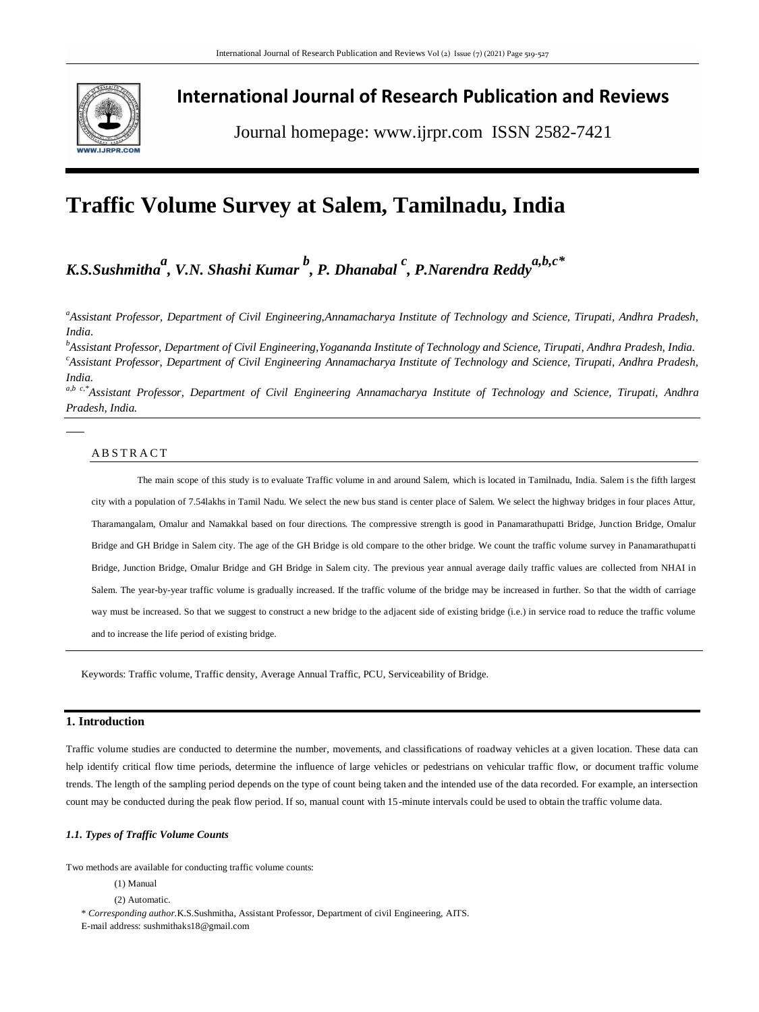

# **International Journal of Research Publication and Reviews**

Journal homepage: www.ijrpr.com ISSN 2582-7421

# **Traffic Volume Survey at Salem, Tamilnadu, India**

# *K.S.Sushmitha a , V.N. Shashi Kumar <sup>b</sup> , P. Dhanabal <sup>c</sup> , P.Narendra Reddya,b,c\**

*<sup>a</sup>Assistant Professor, Department of Civil Engineering,Annamacharya Institute of Technology and Science, Tirupati, Andhra Pradesh, India.*

*<sup>b</sup>Assistant Professor, Department of Civil Engineering,Yogananda Institute of Technology and Science, Tirupati, Andhra Pradesh, India. <sup>c</sup>Assistant Professor, Department of Civil Engineering Annamacharya Institute of Technology and Science, Tirupati, Andhra Pradesh, India.*

*a,b c,\*Assistant Professor, Department of Civil Engineering Annamacharya Institute of Technology and Science, Tirupati, Andhra Pradesh, India.*

# A B S T R A C T

The main scope of this study is to evaluate Traffic volume in and around Salem, which is located in Tamilnadu, India. Salem is the fifth largest city with a population of 7.54lakhs in Tamil Nadu. We select the new bus stand is center place of Salem. We select the highway bridges in four places Attur, Tharamangalam, Omalur and Namakkal based on four directions. The compressive strength is good in Panamarathupatti Bridge, Junction Bridge, Omalur Bridge and GH Bridge in Salem city. The age of the GH Bridge is old compare to the other bridge. We count the traffic volume survey in Panamarathupatti Bridge, Junction Bridge, Omalur Bridge and GH Bridge in Salem city. The previous year annual average daily traffic values are collected from NHAI in Salem. The year-by-year traffic volume is gradually increased. If the traffic volume of the bridge may be increased in further. So that the width of carriage way must be increased. So that we suggest to construct a new bridge to the adjacent side of existing bridge (i.e.) in service road to reduce the traffic volume and to increase the life period of existing bridge.

Keywords: Traffic volume, Traffic density, Average Annual Traffic, PCU, Serviceability of Bridge.

## **1. Introduction**

Traffic volume studies are conducted to determine the number, movements, and classifications of roadway vehicles at a given location. These data can help identify critical flow time periods, determine the influence of large vehicles or pedestrians on vehicular traffic flow, or document traffic volume trends. The length of the sampling period depends on the type of count being taken and the intended use of the data recorded. For example, an intersection count may be conducted during the peak flow period. If so, manual count with 15-minute intervals could be used to obtain the traffic volume data.

#### *1.1. Types of Traffic Volume Counts*

Two methods are available for conducting traffic volume counts:

- (1) Manual
- (2) Automatic.

\* *Corresponding author.*K.S.Sushmitha, Assistant Professor, Department of civil Engineering, AITS.

E-mail address: sushmithaks18@gmail.com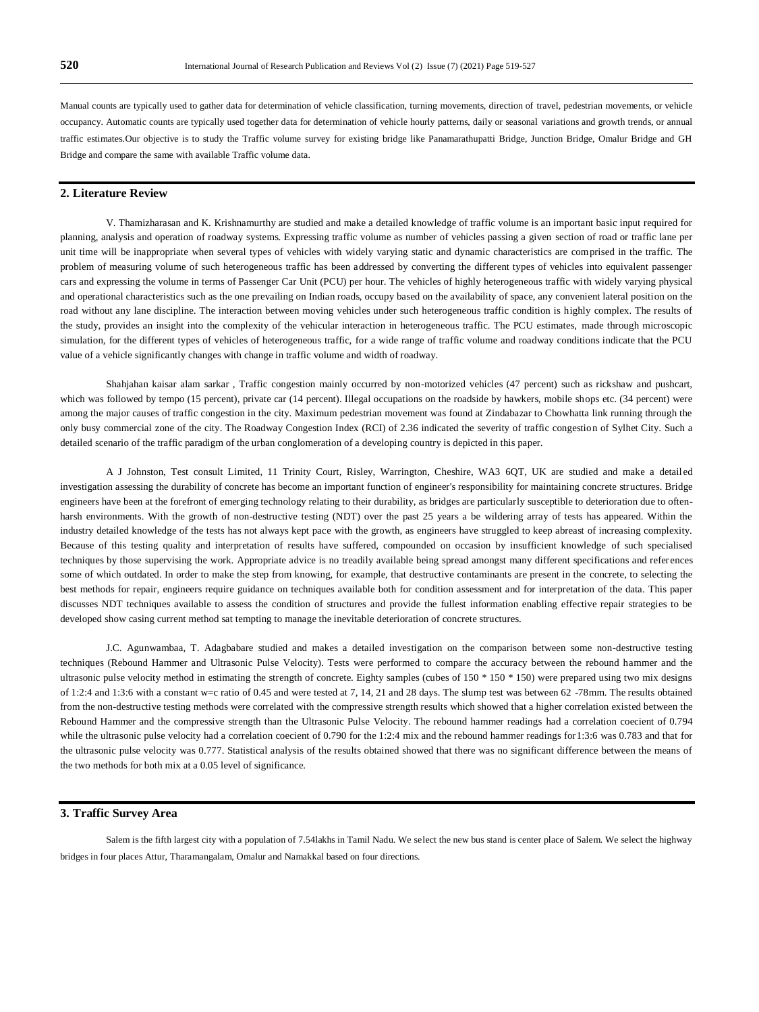Manual counts are typically used to gather data for determination of vehicle classification, turning movements, direction of travel, pedestrian movements, or vehicle occupancy. Automatic counts are typically used together data for determination of vehicle hourly patterns, daily or seasonal variations and growth trends, or annual traffic estimates. Our objective is to study the Traffic volume survey for existing bridge like Panamarathupatti Bridge, Junction Bridge, Omalur Bridge and GH Bridge and compare the same with available Traffic volume data.

# **2. Literature Review**

V. Thamizharasan and K. Krishnamurthy are studied and make a detailed knowledge of traffic volume is an important basic input required for planning, analysis and operation of roadway systems. Expressing traffic volume as number of vehicles passing a given section of road or traffic lane per unit time will be inappropriate when several types of vehicles with widely varying static and dynamic characteristics are comprised in the traffic. The problem of measuring volume of such heterogeneous traffic has been addressed by converting the different types of vehicles into equivalent passenger cars and expressing the volume in terms of Passenger Car Unit (PCU) per hour. The vehicles of highly heterogeneous traffic with widely varying physical and operational characteristics such as the one prevailing on Indian roads, occupy based on the availability of space, any convenient lateral position on the road without any lane discipline. The interaction between moving vehicles under such heterogeneous traffic condition is highly complex. The results of the study, provides an insight into the complexity of the vehicular interaction in heterogeneous traffic. The PCU estimates, made through microscopic simulation, for the different types of vehicles of heterogeneous traffic, for a wide range of traffic volume and roadway conditions indicate that the PCU value of a vehicle significantly changes with change in traffic volume and width of roadway.

Shahjahan kaisar alam sarkar , Traffic congestion mainly occurred by non-motorized vehicles (47 percent) such as rickshaw and pushcart, which was followed by tempo (15 percent), private car (14 percent). Illegal occupations on the roadside by hawkers, mobile shops etc. (34 percent) were among the major causes of traffic congestion in the city. Maximum pedestrian movement was found at Zindabazar to Chowhatta link running through the only busy commercial zone of the city. The Roadway Congestion Index (RCI) of 2.36 indicated the severity of traffic congestion of Sylhet City. Such a detailed scenario of the traffic paradigm of the urban conglomeration of a developing country is depicted in this paper.

A J Johnston, Test consult Limited, 11 Trinity Court, Risley, Warrington, Cheshire, WA3 6QT, UK are studied and make a detail ed investigation assessing the durability of concrete has become an important function of engineer's responsibility for maintaining concrete structures. Bridge engineers have been at the forefront of emerging technology relating to their durability, as bridges are particularly susceptible to deterioration due to oftenharsh environments. With the growth of non-destructive testing (NDT) over the past 25 years a be wildering array of tests has appeared. Within the industry detailed knowledge of the tests has not always kept pace with the growth, as engineers have struggled to keep abreast of increasing complexity. Because of this testing quality and interpretation of results have suffered, compounded on occasion by insufficient knowledge of such specialised techniques by those supervising the work. Appropriate advice is no treadily available being spread amongst many different specifications and references some of which outdated. In order to make the step from knowing, for example, that destructive contaminants are present in the concrete, to selecting the best methods for repair, engineers require guidance on techniques available both for condition assessment and for interpretation of the data. This paper discusses NDT techniques available to assess the condition of structures and provide the fullest information enabling effective repair strategies to be developed show casing current method sat tempting to manage the inevitable deterioration of concrete structures.

J.C. Agunwambaa, T. Adagbabare studied and makes a detailed investigation on the comparison between some non-destructive testing techniques (Rebound Hammer and Ultrasonic Pulse Velocity). Tests were performed to compare the accuracy between the rebound hammer and the ultrasonic pulse velocity method in estimating the strength of concrete. Eighty samples (cubes of 150 \* 150 \* 150) were prepared using two mix designs of 1:2:4 and 1:3:6 with a constant w=c ratio of 0.45 and were tested at 7, 14, 21 and 28 days. The slump test was between 62 -78mm. The results obtained from the non-destructive testing methods were correlated with the compressive strength results which showed that a higher correlation existed between the Rebound Hammer and the compressive strength than the Ultrasonic Pulse Velocity. The rebound hammer readings had a correlation coecient of 0.794 while the ultrasonic pulse velocity had a correlation coecient of 0.790 for the 1:2:4 mix and the rebound hammer readings for 1:3:6 was 0.783 and that for the ultrasonic pulse velocity was 0.777. Statistical analysis of the results obtained showed that there was no significant difference between the means of the two methods for both mix at a 0.05 level of significance.

## **3. Traffic Survey Area**

Salem is the fifth largest city with a population of 7.54lakhs in Tamil Nadu. We select the new bus stand is center place of Salem. We select the highway bridges in four places Attur, Tharamangalam, Omalur and Namakkal based on four directions.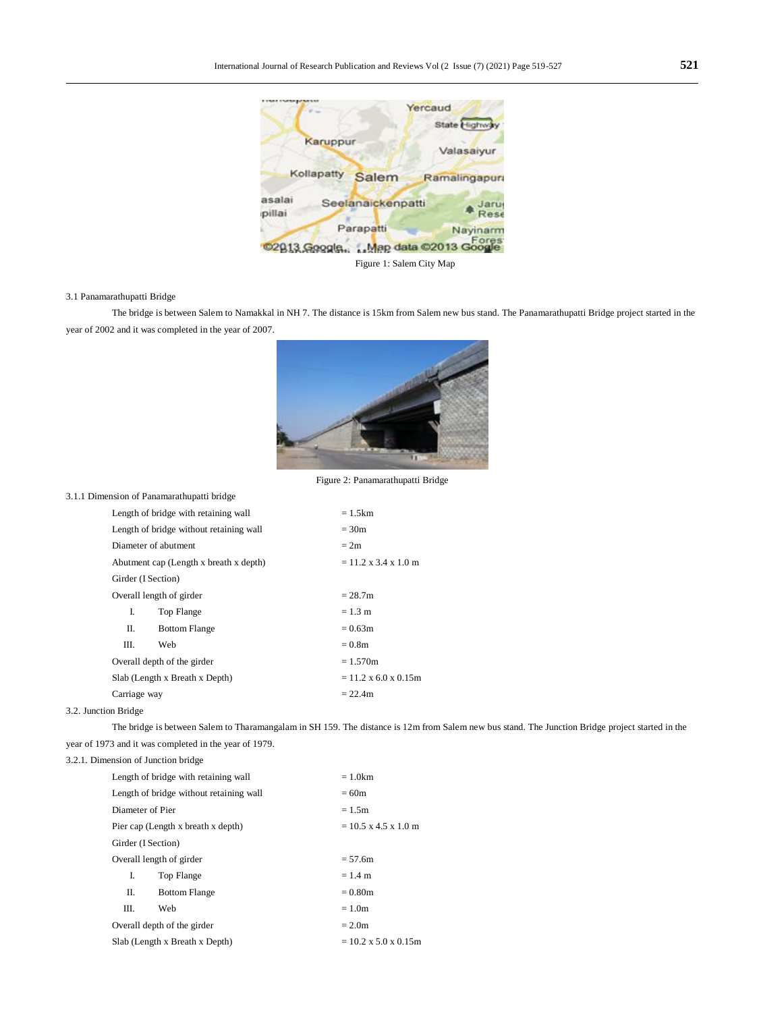

#### 3.1 Panamarathupatti Bridge

The bridge is between Salem to Namakkal in NH 7. The distance is 15km from Salem new bus stand. The Panamarathupatti Bridge project started in the year of 2002 and it was completed in the year of 2007.



Figure 2: Panamarathupatti Bridge

|                    | Length of bridge with retaining wall    | $= 1.5$ km                               |  |  |
|--------------------|-----------------------------------------|------------------------------------------|--|--|
|                    | Length of bridge without retaining wall | $= 30m$                                  |  |  |
|                    | Diameter of abutment                    | $= 2m$                                   |  |  |
|                    | Abutment cap (Length x breath x depth)  | $= 11.2 \times 3.4 \times 1.0 \text{ m}$ |  |  |
| Girder (I Section) |                                         |                                          |  |  |
|                    | Overall length of girder                | $= 28.7m$                                |  |  |
| L                  | Top Flange                              | $= 1.3 \text{ m}$                        |  |  |
| П.                 | <b>Bottom Flange</b>                    | $= 0.63$ m                               |  |  |
| III.               | Web                                     | $= 0.8m$                                 |  |  |
|                    | Overall depth of the girder             | $= 1.570m$                               |  |  |
|                    | Slab (Length x Breath x Depth)          | $= 11.2 \times 6.0 \times 0.15$ m        |  |  |
| Carriage way       |                                         | $= 22.4m$                                |  |  |

## 3.2. Junction Bridge

The bridge is between Salem to Tharamangalam in SH 159. The distance is 12m from Salem new bus stand. The Junction Bridge project started in the year of 1973 and it was completed in the year of 1979.

# 3.2.1. Dimension of Junction bridge

3.1.1 Dimension of Panamarathupatti bridge

|                    | Length of bridge with retaining wall    | $= 1.0$ km                               |  |  |
|--------------------|-----------------------------------------|------------------------------------------|--|--|
|                    | Length of bridge without retaining wall | $= 60m$                                  |  |  |
| Diameter of Pier   |                                         | $= 1.5m$                                 |  |  |
|                    | Pier cap (Length x breath x depth)      | $= 10.5 \times 4.5 \times 1.0 \text{ m}$ |  |  |
| Girder (I Section) |                                         |                                          |  |  |
|                    | Overall length of girder                | $= 57.6m$                                |  |  |
| L                  | Top Flange                              | $= 1.4$ m                                |  |  |
| П.                 | <b>Bottom Flange</b>                    | $= 0.80$ m                               |  |  |
| Ш.                 | Web                                     | $= 1.0m$                                 |  |  |
|                    | Overall depth of the girder             | $= 2.0m$                                 |  |  |
|                    | Slab (Length x Breath x Depth)          | $= 10.2 \times 5.0 \times 0.15$ m        |  |  |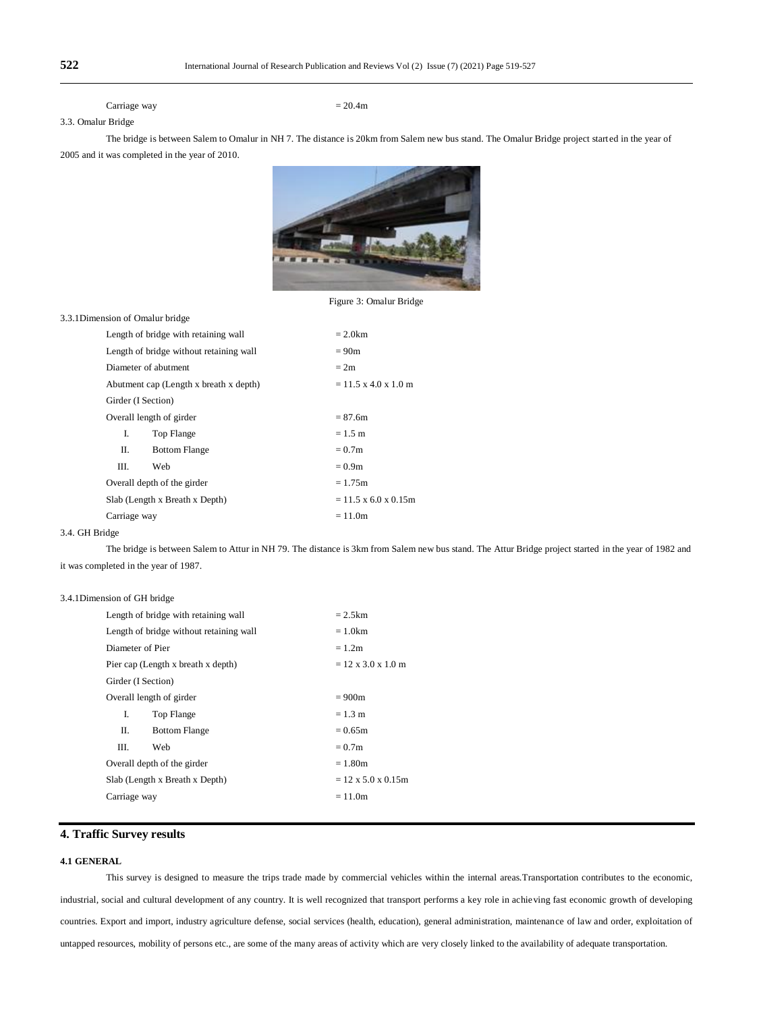Carriage way  $= 20.4$ m

# 3.3. Omalur Bridge

The bridge is between Salem to Omalur in NH 7. The distance is 20km from Salem new bus stand. The Omalur Bridge project started in the year of 2005 and it was completed in the year of 2010.



Figure 3: Omalur Bridge

# 3.3.1Dimension of Omalur bridge

|                    | Length of bridge with retaining wall    | $= 2.0$ km                               |  |  |  |
|--------------------|-----------------------------------------|------------------------------------------|--|--|--|
|                    | Length of bridge without retaining wall | $= 90m$                                  |  |  |  |
|                    | Diameter of abutment                    | $= 2m$                                   |  |  |  |
|                    | Abutment cap (Length x breath x depth)  | $= 11.5 \times 4.0 \times 1.0 \text{ m}$ |  |  |  |
| Girder (I Section) |                                         |                                          |  |  |  |
|                    | Overall length of girder                | $= 87.6m$                                |  |  |  |
| I.                 | Top Flange                              | $= 1.5$ m                                |  |  |  |
| П.                 | <b>Bottom Flange</b>                    | $= 0.7m$                                 |  |  |  |
| Ш.                 | Web                                     | $= 0.9m$                                 |  |  |  |
|                    | Overall depth of the girder             | $= 1.75m$                                |  |  |  |
|                    | Slab (Length x Breath x Depth)          | $= 11.5 \times 6.0 \times 0.15$ m        |  |  |  |
| Carriage way       |                                         | $= 11.0m$                                |  |  |  |

#### 3.4. GH Bridge

The bridge is between Salem to Attur in NH 79. The distance is 3km from Salem new bus stand. The Attur Bridge project started in the year of 1982 and it was completed in the year of 1987.

## 3.4.1Dimension of GH bridge

|                    | Length of bridge with retaining wall    | $= 2.5$ km                      |  |  |  |
|--------------------|-----------------------------------------|---------------------------------|--|--|--|
|                    | Length of bridge without retaining wall | $= 1.0$ km                      |  |  |  |
| Diameter of Pier   |                                         | $= 1.2m$                        |  |  |  |
|                    | Pier cap (Length x breath x depth)      | $= 12 \times 3.0 \times 1.0$ m  |  |  |  |
| Girder (I Section) |                                         |                                 |  |  |  |
|                    | Overall length of girder                | $= 900m$                        |  |  |  |
| L                  | Top Flange                              | $= 1.3 \text{ m}$               |  |  |  |
| П.                 | <b>Bottom Flange</b>                    | $= 0.65$ m                      |  |  |  |
| HL.                | Web                                     | $= 0.7m$                        |  |  |  |
|                    | Overall depth of the girder             | $= 1.80m$                       |  |  |  |
|                    | Slab (Length x Breath x Depth)          | $= 12 \times 5.0 \times 0.15$ m |  |  |  |
| Carriage way       |                                         | $= 11.0m$                       |  |  |  |
|                    |                                         |                                 |  |  |  |

# **4. Traffic Survey results**

# **4.1 GENERAL**

This survey is designed to measure the trips trade made by commercial vehicles within the internal areas.Transportation contributes to the economic, industrial, social and cultural development of any country. It is well recognized that transport performs a key role in achieving fast economic growth of developing countries. Export and import, industry agriculture defense, social services (health, education), general administration, maintenance of law and order, exploitation of untapped resources, mobility of persons etc., are some of the many areas of activity which are very closely linked to the availability of adequate transportation.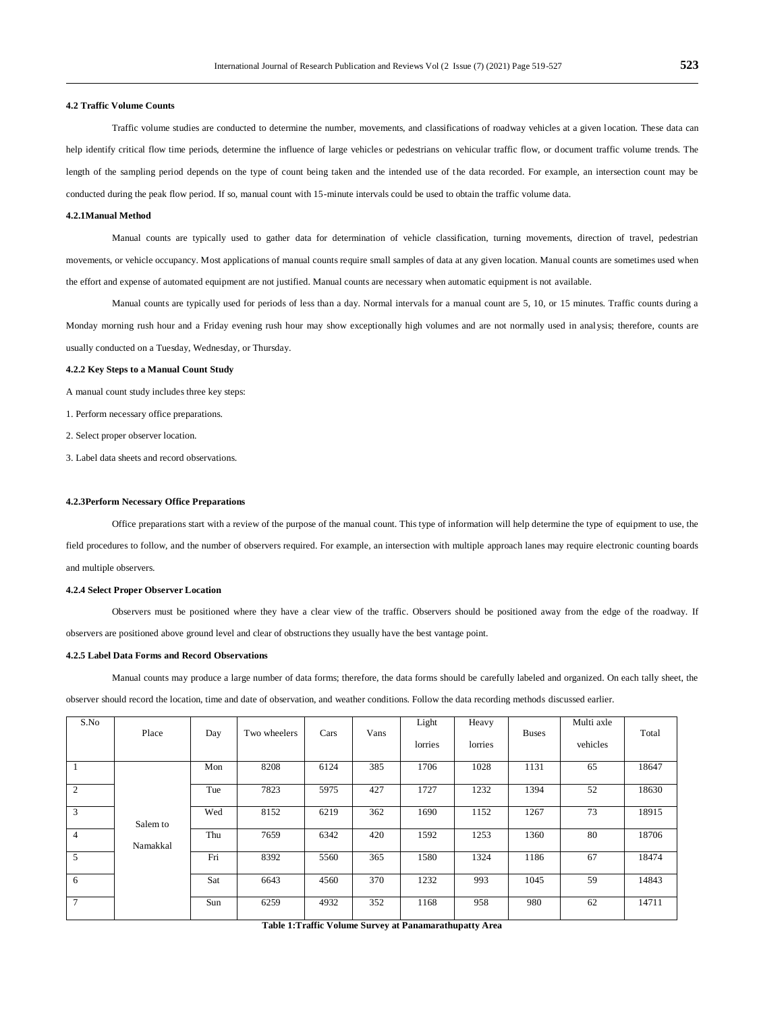#### **4.2 Traffic Volume Counts**

Traffic volume studies are conducted to determine the number, movements, and classifications of roadway vehicles at a given location. These data can help identify critical flow time periods, determine the influence of large vehicles or pedestrians on vehicular traffic flow, or document traffic volume trends. The length of the sampling period depends on the type of count being taken and the intended use of the data recorded. For example, an intersection count may be conducted during the peak flow period. If so, manual count with 15-minute intervals could be used to obtain the traffic volume data.

#### **4.2.1Manual Method**

Manual counts are typically used to gather data for determination of vehicle classification, turning movements, direction of travel, pedestrian movements, or vehicle occupancy. Most applications of manual counts require small samples of data at any given location. Manual counts are sometimes used when the effort and expense of automated equipment are not justified. Manual counts are necessary when automatic equipment is not available.

Manual counts are typically used for periods of less than a day. Normal intervals for a manual count are 5, 10, or 15 minutes. Traffic counts during a Monday morning rush hour and a Friday evening rush hour may show exceptionally high volumes and are not normally used in analysis; therefore, counts are usually conducted on a Tuesday, Wednesday, or Thursday.

#### **4.2.2 Key Steps to a Manual Count Study**

A manual count study includes three key steps:

1. Perform necessary office preparations.

2. Select proper observer location.

3. Label data sheets and record observations.

#### **4.2.3Perform Necessary Office Preparations**

Office preparations start with a review of the purpose of the manual count. This type of information will help determine the type of equipment to use, the field procedures to follow, and the number of observers required. For example, an intersection with multiple approach lanes may require electronic counting boards and multiple observers.

#### **4.2.4 Select Proper Observer Location**

Observers must be positioned where they have a clear view of the traffic. Observers should be positioned away from the edge of the roadway. If observers are positioned above ground level and clear of obstructions they usually have the best vantage point.

#### **4.2.5 Label Data Forms and Record Observations**

Manual counts may produce a large number of data forms; therefore, the data forms should be carefully labeled and organized. On each tally sheet, the observer should record the location, time and date of observation, and weather conditions. Follow the data recording methods discussed earlier.

| S.No            | Place    | Day | Two wheelers | Cars | Vans | Light   | Heavy   | <b>Buses</b> | Multi axle | Total |
|-----------------|----------|-----|--------------|------|------|---------|---------|--------------|------------|-------|
|                 |          |     |              |      |      | lorries | lorries |              | vehicles   |       |
|                 |          | Mon | 8208         | 6124 | 385  | 1706    | 1028    | 1131         | 65         | 18647 |
| 2               |          | Tue | 7823         | 5975 | 427  | 1727    | 1232    | 1394         | 52         | 18630 |
| 3               | Salem to | Wed | 8152         | 6219 | 362  | 1690    | 1152    | 1267         | 73         | 18915 |
| $\overline{4}$  | Namakkal | Thu | 7659         | 6342 | 420  | 1592    | 1253    | 1360         | 80         | 18706 |
| $\overline{5}$  |          | Fri | 8392         | 5560 | 365  | 1580    | 1324    | 1186         | 67         | 18474 |
| 6               |          | Sat | 6643         | 4560 | 370  | 1232    | 993     | 1045         | 59         | 14843 |
| $7\phantom{.0}$ |          | Sun | 6259         | 4932 | 352  | 1168    | 958     | 980          | 62         | 14711 |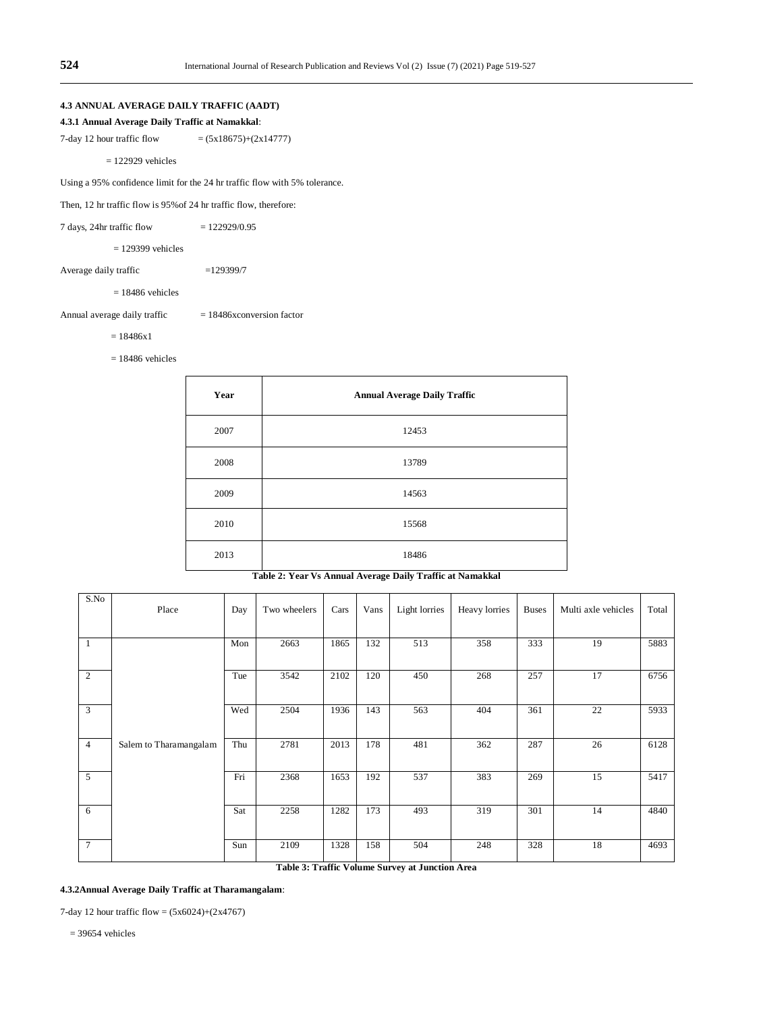# **4.3 ANNUAL AVERAGE DAILY TRAFFIC (AADT)**

## **4.3.1 Annual Average Daily Traffic at Namakkal**:

7-day 12 hour traffic flow  $= (5x18675)+(2x14777)$ 

= 122929 vehicles

Using a 95% confidence limit for the 24 hr traffic flow with 5% tolerance.

Then, 12 hr traffic flow is 95%of 24 hr traffic flow, therefore:

 $7 \text{ days}$ ,  $24 \text{ hr}$  traffic flow  $= 122929/0.95$ 

 $= 129399$  vehicles

Average daily traffic =129399/7

 $= 18486$  vehicles

Annual average daily traffic  $= 18486x$ conversion factor

 $= 18486x1$ 

 $= 18486$  vehicles

| Year | <b>Annual Average Daily Traffic</b> |
|------|-------------------------------------|
| 2007 | 12453                               |
| 2008 | 13789                               |
| 2009 | 14563                               |
| 2010 | 15568                               |
| 2013 | 18486                               |

| S.No            | Place                  | Day | Two wheelers | Cars | Vans | Light lorries | Heavy lorries | <b>Buses</b> | Multi axle vehicles | Total |
|-----------------|------------------------|-----|--------------|------|------|---------------|---------------|--------------|---------------------|-------|
| $\overline{1}$  |                        | Mon | 2663         | 1865 | 132  | 513           | 358           | 333          | 19                  | 5883  |
| 2               |                        | Tue | 3542         | 2102 | 120  | 450           | 268           | 257          | 17                  | 6756  |
| 3               |                        | Wed | 2504         | 1936 | 143  | 563           | 404           | 361          | 22                  | 5933  |
| $\overline{4}$  | Salem to Tharamangalam | Thu | 2781         | 2013 | 178  | 481           | 362           | 287          | 26                  | 6128  |
| 5               |                        | Fri | 2368         | 1653 | 192  | 537           | 383           | 269          | 15                  | 5417  |
| - 6             |                        | Sat | 2258         | 1282 | 173  | 493           | 319           | 301          | 14                  | 4840  |
| $7\phantom{.0}$ |                        | Sun | 2109         | 1328 | 158  | 504           | 248           | 328          | 18                  | 4693  |

# **Table 2: Year Vs Annual Average Daily Traffic at Namakkal**

**Table 3: Traffic Volume Survey at Junction Area**

# **4.3.2Annual Average Daily Traffic at Tharamangalam**:

7-day 12 hour traffic flow =  $(5x6024)+(2x4767)$ 

 $= 39654$  vehicles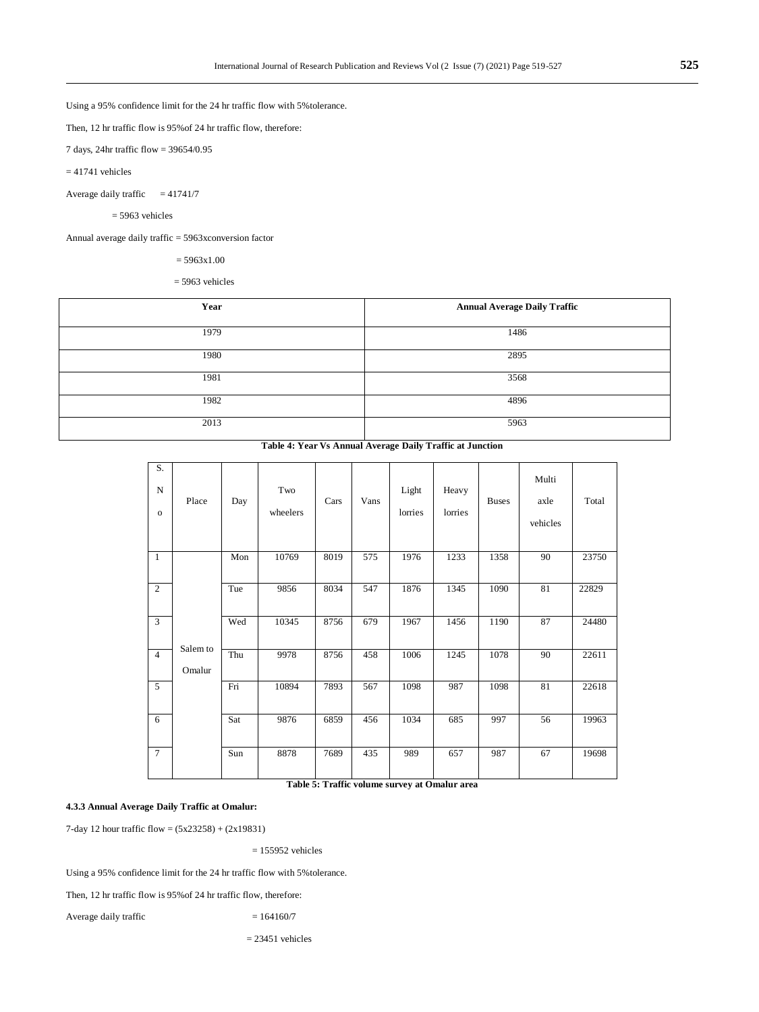Using a 95% confidence limit for the 24 hr traffic flow with 5%tolerance.

Then, 12 hr traffic flow is 95%of 24 hr traffic flow, therefore:

7 days, 24hr traffic flow = 39654/0.95

 $= 41741$  vehicles

Average daily traffic  $= 41741/7$ 

 $= 5963$  vehicles

Annual average daily traffic = 5963xconversion factor

 $= 5963x1.00$ 

 $= 5963$  vehicles

| Year | <b>Annual Average Daily Traffic</b> |
|------|-------------------------------------|
| 1979 | 1486                                |
| 1980 | 2895                                |
| 1981 | 3568                                |
| 1982 | 4896                                |
| 2013 | 5963                                |

**Table 4: Year Vs Annual Average Daily Traffic at Junction**

| S.<br>$\mathbf N$<br>$\mathbf{o}$ | Place              | Day | Two<br>wheelers | Cars | Vans | Light<br>lorries | Heavy<br>lorries | <b>Buses</b> | Multi<br>axle<br>vehicles | Total |
|-----------------------------------|--------------------|-----|-----------------|------|------|------------------|------------------|--------------|---------------------------|-------|
| $\mathbf{1}$                      |                    | Mon | 10769           | 8019 | 575  | 1976             | 1233             | 1358         | 90                        | 23750 |
| 2                                 |                    | Tue | 9856            | 8034 | 547  | 1876             | 1345             | 1090         | 81                        | 22829 |
| 3                                 |                    | Wed | 10345           | 8756 | 679  | 1967             | 1456             | 1190         | 87                        | 24480 |
| $\overline{4}$                    | Salem to<br>Omalur | Thu | 9978            | 8756 | 458  | 1006             | 1245             | 1078         | 90                        | 22611 |
| $\overline{5}$                    |                    | Fri | 10894           | 7893 | 567  | 1098             | 987              | 1098         | 81                        | 22618 |
| 6                                 |                    | Sat | 9876            | 6859 | 456  | 1034             | 685              | 997          | 56                        | 19963 |
| $\tau$                            |                    | Sun | 8878            | 7689 | 435  | 989              | 657              | 987          | 67                        | 19698 |

**Table 5: Traffic volume survey at Omalur area**

# **4.3.3 Annual Average Daily Traffic at Omalur:**

7-day 12 hour traffic flow = (5x23258) + (2x19831)

 $= 155952$  vehicles

Using a 95% confidence limit for the 24 hr traffic flow with 5%tolerance.

Then, 12 hr traffic flow is 95%of 24 hr traffic flow, therefore:

Average daily traffic  $= 164160/7$ 

 $= 23451$  vehicles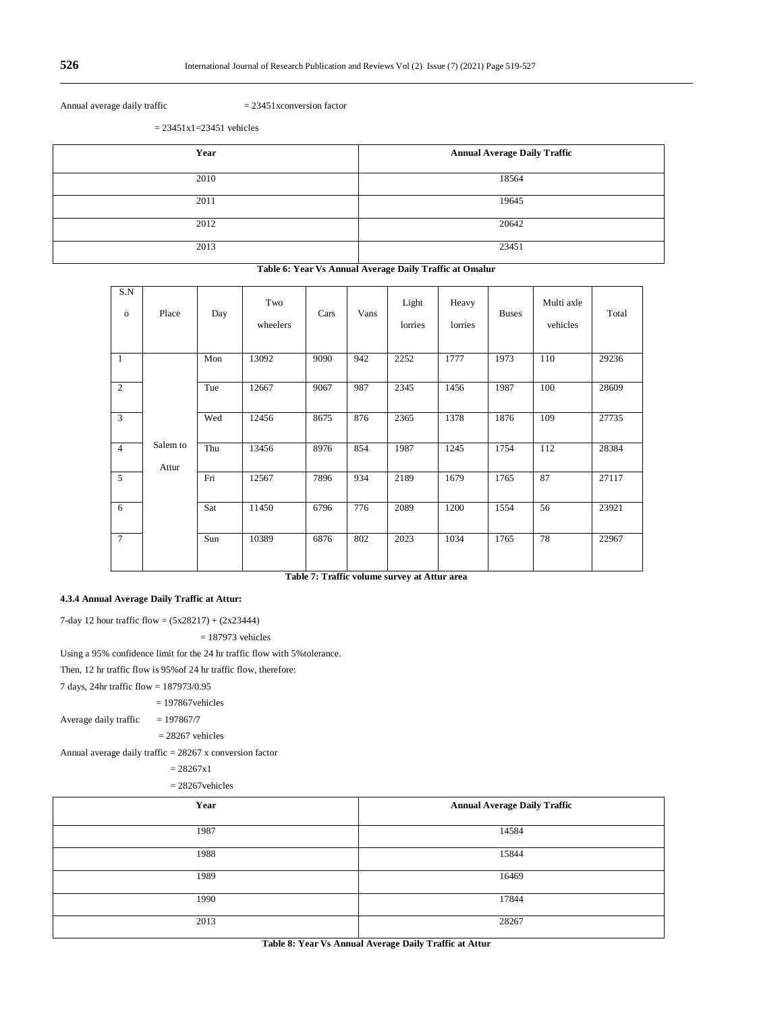Annual average daily traffic  $= 23451x$ conversion factor

 $= 23451x1=23451$  vehicles

| Year | <b>Annual Average Daily Traffic</b> |
|------|-------------------------------------|
| 2010 | 18564                               |
| 2011 | 19645                               |
| 2012 | 20642                               |
| 2013 | 23451                               |

#### **Table 6: Year Vs Annual Average Daily Traffic at Omalur**

| S.N<br>$\mathbf 0$ | Place             | Day | Two<br>wheelers | Cars | Vans | Light<br>lorries | Heavy<br>lorries | <b>Buses</b> | Multi axle<br>vehicles | Total |
|--------------------|-------------------|-----|-----------------|------|------|------------------|------------------|--------------|------------------------|-------|
| 1                  |                   | Mon | 13092           | 9090 | 942  | 2252             | 1777             | 1973         | 110                    | 29236 |
| $\overline{2}$     |                   | Tue | 12667           | 9067 | 987  | 2345             | 1456             | 1987         | 100                    | 28609 |
| 3                  |                   | Wed | 12456           | 8675 | 876  | 2365             | 1378             | 1876         | 109                    | 27735 |
| $\overline{4}$     | Salem to<br>Attur | Thu | 13456           | 8976 | 854  | 1987             | 1245             | 1754         | 112                    | 28384 |
| 5                  |                   | Fri | 12567           | 7896 | 934  | 2189             | 1679             | 1765         | 87                     | 27117 |
| 6                  |                   | Sat | 11450           | 6796 | 776  | 2089             | 1200             | 1554         | 56                     | 23921 |
| 7                  |                   | Sun | 10389           | 6876 | 802  | 2023             | 1034             | 1765         | 78                     | 22967 |

**Table 7: Traffic volume survey at Attur area**

# **4.3.4 Annual Average Daily Traffic at Attur:**

7-day 12 hour traffic flow =  $(5x28217) + (2x23444)$ 

 $= 187973$  vehicles

Using a 95% confidence limit for the 24 hr traffic flow with 5%tolerance.

Then, 12 hr traffic flow is 95%of 24 hr traffic flow, therefore:

7 days, 24hr traffic flow = 187973/0.95

= 197867vehicles

Average daily traffic  $= 197867/7$ 

 $= 28267$  vehicles

Annual average daily traffic  $= 28267$  x conversion factor

 $= 28267x1$ 

 $= 28267$ vehicles

| Year | <b>Annual Average Daily Traffic</b> |
|------|-------------------------------------|
| 1987 | 14584                               |
| 1988 | 15844                               |
| 1989 | 16469                               |
| 1990 | 17844                               |
| 2013 | 28267                               |